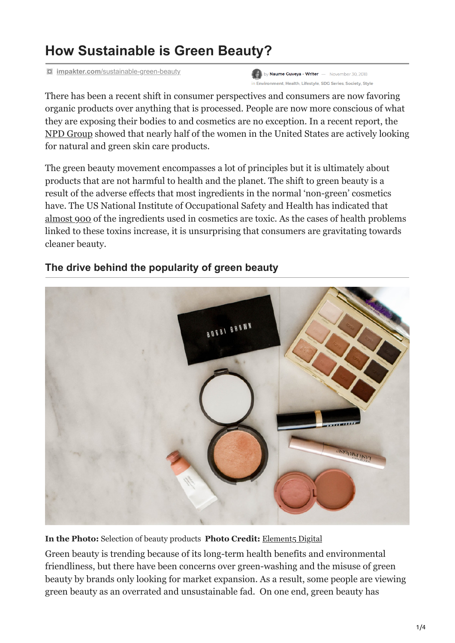# **How Sustainable is Green Beauty?**

**impakter.com**[/sustainable-green-beauty](https://impakter.com/sustainable-green-beauty/)

by Naume Guveya - Writer - November 30, 2018 in Environment, Health, Lifestyle, SDG Series, Society, Style

There has been a recent shift in consumer perspectives and consumers are now favoring organic products over anything that is processed. People are now more conscious of what they are exposing their bodies to and cosmetics are no exception. In a recent report, the [NPD Group](https://www.npd.com/wps/portal/npd/us/news/press-releases/2017/for-nearly-half-of-us-women-using-facial-skincare-products-ingredients-determine-their-purchases/) showed that nearly half of the women in the United States are actively looking for natural and green skin care products.

The green beauty movement encompasses a lot of principles but it is ultimately about products that are not harmful to health and the planet. The shift to green beauty is a result of the adverse effects that most ingredients in the normal 'non-green' cosmetics have. The US National Institute of Occupational Safety and Health has indicated that [almost 900](https://www.theguardian.com/society/2002/apr/07/medicalscience.research) of the ingredients used in cosmetics are toxic. As the cases of health problems linked to these toxins increase, it is unsurprising that consumers are gravitating towards cleaner beauty.



## **The drive behind the popularity of green beauty**

**In the Photo:** Selection of beauty products **Photo Credit:** Element<sub>5</sub> Digital

Green beauty is trending because of its long-term health benefits and environmental friendliness, but there have been concerns over green-washing and the misuse of green beauty by brands only looking for market expansion. As a result, some people are viewing green beauty as an overrated and unsustainable fad. On one end, green beauty has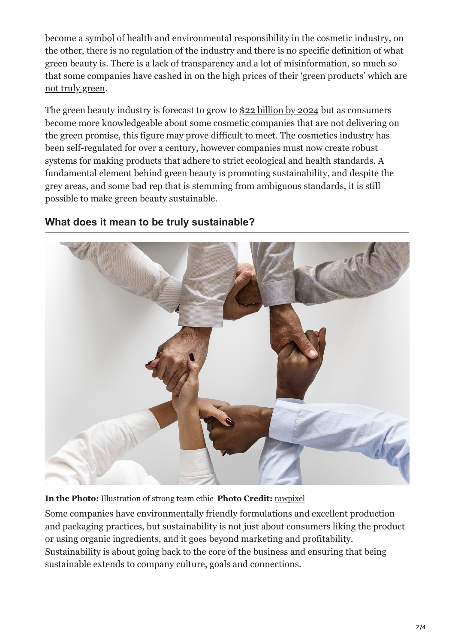become a symbol of health and environmental responsibility in the cosmetic industry, on the other, there is no regulation of the industry and there is no specific definition of what green beauty is. There is a lack of transparency and a lot of misinformation, so much so that some companies have cashed in on the high prices of their 'green products' which are [not truly green](https://eluxemagazine.com/magazine/fake-organic-brands/).

The green beauty industry is forecast to grow to [\\$22 billion by 2024](https://formulabotanica.com/global-organic-beauty-market-22bn-2024/) but as consumers become more knowledgeable about some cosmetic companies that are not delivering on the green promise, this figure may prove difficult to meet. The cosmetics industry has been self-regulated for over a century, however companies must now create robust systems for making products that adhere to strict ecological and health standards. A fundamental element behind green beauty is promoting sustainability, and despite the grey areas, and some bad rep that is stemming from ambiguous standards, it is still possible to make green beauty sustainable.



## **What does it mean to be truly sustainable?**

**In the Photo:** Illustration of strong team ethic **Photo Credit:** [rawpixel](https://unsplash.com/photos/tpLz5aKdQmM?utm_source=unsplash&utm_medium=referral&utm_content=creditCopyText)

Some companies have environmentally friendly formulations and excellent production and packaging practices, but sustainability is not just about consumers liking the product or using organic ingredients, and it goes beyond marketing and profitability. Sustainability is about going back to the core of the business and ensuring that being sustainable extends to company culture, goals and connections.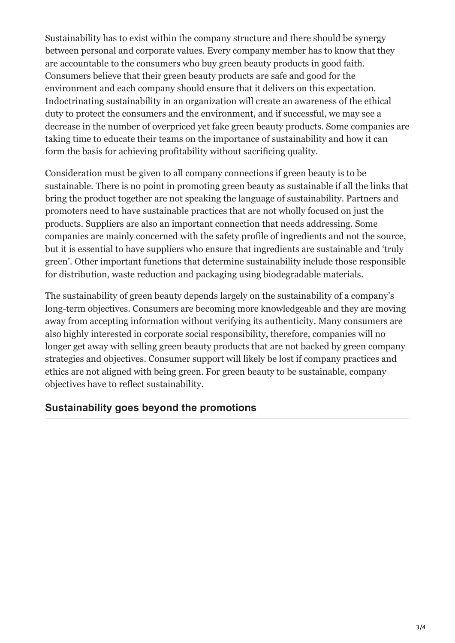Sustainability has to exist within the company structure and there should be synergy between personal and corporate values. Every company member has to know that they are accountable to the consumers who buy green beauty products in good faith. Consumers believe that their green beauty products are safe and good for the environment and each company should ensure that it delivers on this expectation. Indoctrinating sustainability in an organization will create an awareness of the ethical duty to protect the consumers and the environment, and if successful, we may see a decrease in the number of overpriced yet fake green beauty products. Some companies are taking time to [educate their teams](https://ssir.org/articles/entry/engaging_employees_to_create_a_sustainable_business) on the importance of sustainability and how it can form the basis for achieving profitability without sacrificing quality.

Consideration must be given to all company connections if green beauty is to be sustainable. There is no point in promoting green beauty as sustainable if all the links that bring the product together are not speaking the language of sustainability. Partners and promoters need to have sustainable practices that are not wholly focused on just the products. Suppliers are also an important connection that needs addressing. Some companies are mainly concerned with the safety profile of ingredients and not the source, but it is essential to have suppliers who ensure that ingredients are sustainable and 'truly green'. Other important functions that determine sustainability include those responsible for distribution, waste reduction and packaging using biodegradable materials.

The sustainability of green beauty depends largely on the sustainability of a company's long-term objectives. Consumers are becoming more knowledgeable and they are moving away from accepting information without verifying its authenticity. Many consumers are also highly interested in corporate social responsibility, therefore, companies will no longer get away with selling green beauty products that are not backed by green company strategies and objectives. Consumer support will likely be lost if company practices and ethics are not aligned with being green. For green beauty to be sustainable, company objectives have to reflect sustainability.

## **Sustainability goes beyond the promotions**